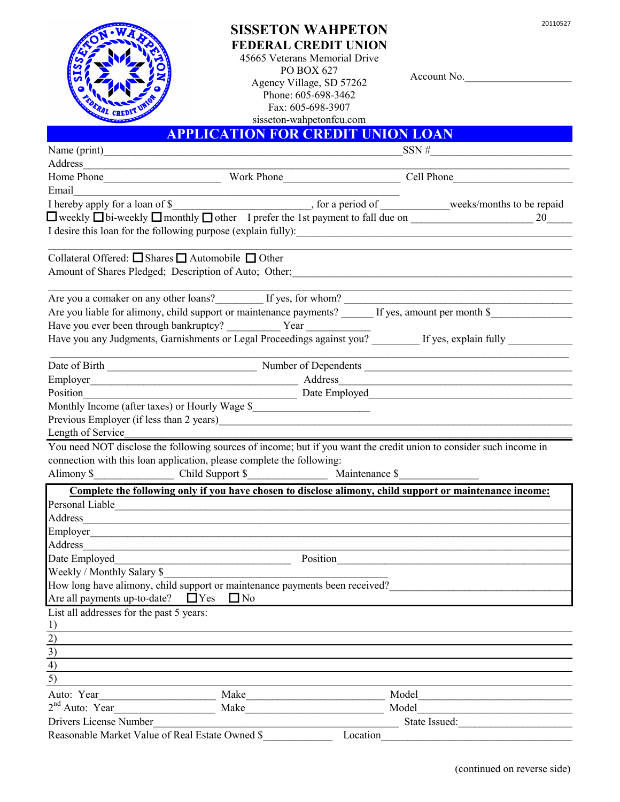20110527



## **SISSETON WAHPETON FEDERAL CREDIT UNION**

45665 Veterans Memorial Drive PO BOX 627 Agency Village, SD 57262 Phone: 605-698-3462 Fax: 605-698-3907 sisseton-wahpetonfcu.com

Account No.

## **APPLICATION FOR CREDIT UNION LOAN**

| Name (print)                                                                                                |                                                                                                                                                                                                                                      | SSN#                                                                                      | the control of the control of the control of the control of the control of |  |
|-------------------------------------------------------------------------------------------------------------|--------------------------------------------------------------------------------------------------------------------------------------------------------------------------------------------------------------------------------------|-------------------------------------------------------------------------------------------|----------------------------------------------------------------------------|--|
| Address                                                                                                     |                                                                                                                                                                                                                                      |                                                                                           |                                                                            |  |
|                                                                                                             |                                                                                                                                                                                                                                      |                                                                                           |                                                                            |  |
| Email                                                                                                       |                                                                                                                                                                                                                                      |                                                                                           |                                                                            |  |
|                                                                                                             |                                                                                                                                                                                                                                      |                                                                                           |                                                                            |  |
|                                                                                                             | $\Box$ weekly $\Box$ bi-weekly $\Box$ monthly $\Box$ other I prefer the 1st payment to fall due on $\Box$                                                                                                                            |                                                                                           | 20                                                                         |  |
|                                                                                                             |                                                                                                                                                                                                                                      |                                                                                           |                                                                            |  |
| Collateral Offered: $\Box$ Shares $\Box$ Automobile $\Box$ Other                                            |                                                                                                                                                                                                                                      |                                                                                           |                                                                            |  |
|                                                                                                             | Amount of Shares Pledged; Description of Auto; Other; 1997) 1997 (Capture 2010) 1997 (Capture 2010) 1997 (Capture 2010) 1997 (Capture 2010) 1997 (Capture 2010) 1997 (Capture 2010) 1997 (Capture 2010) 1997 (Capture 2010) 19       |                                                                                           |                                                                            |  |
|                                                                                                             | Are you a comaker on any other loans? If yes, for whom?                                                                                                                                                                              | the control of the control of the control of the control of the control of the control of |                                                                            |  |
|                                                                                                             |                                                                                                                                                                                                                                      |                                                                                           |                                                                            |  |
|                                                                                                             | Have you ever been through bankruptcy? Vear Vear Terms and Year Terms and September 2014. The you any Judgments, Garnishments or Legal Proceedings against you? If yes, explain fully                                                |                                                                                           |                                                                            |  |
|                                                                                                             |                                                                                                                                                                                                                                      |                                                                                           |                                                                            |  |
|                                                                                                             |                                                                                                                                                                                                                                      |                                                                                           |                                                                            |  |
|                                                                                                             | Employer<br><u>Employer</u><br>Address                                                                                                                                                                                               |                                                                                           |                                                                            |  |
|                                                                                                             | Position Date Employed                                                                                                                                                                                                               |                                                                                           |                                                                            |  |
|                                                                                                             | Monthly Income (after taxes) or Hourly Wage \$                                                                                                                                                                                       |                                                                                           |                                                                            |  |
|                                                                                                             |                                                                                                                                                                                                                                      |                                                                                           |                                                                            |  |
|                                                                                                             |                                                                                                                                                                                                                                      |                                                                                           |                                                                            |  |
|                                                                                                             |                                                                                                                                                                                                                                      |                                                                                           |                                                                            |  |
|                                                                                                             | You need NOT disclose the following sources of income; but if you want the credit union to consider such income in                                                                                                                   |                                                                                           |                                                                            |  |
|                                                                                                             | connection with this loan application, please complete the following:                                                                                                                                                                |                                                                                           |                                                                            |  |
|                                                                                                             |                                                                                                                                                                                                                                      |                                                                                           |                                                                            |  |
|                                                                                                             |                                                                                                                                                                                                                                      |                                                                                           |                                                                            |  |
|                                                                                                             | Complete the following only if you have chosen to disclose alimony, child support or maintenance income:                                                                                                                             |                                                                                           |                                                                            |  |
|                                                                                                             | Personal Liable <b>Executive Contract Contract Contract Contract Contract Contract Contract Contract Contract Contract Contract Contract Contract Contract Contract Contract Contract Contract Contract Contract Contract Contra</b> |                                                                                           |                                                                            |  |
| Length of Service<br>Alimony \$                                                                             |                                                                                                                                                                                                                                      |                                                                                           |                                                                            |  |
|                                                                                                             |                                                                                                                                                                                                                                      |                                                                                           |                                                                            |  |
|                                                                                                             |                                                                                                                                                                                                                                      |                                                                                           |                                                                            |  |
| Weekly / Monthly Salary \$                                                                                  |                                                                                                                                                                                                                                      | Position                                                                                  |                                                                            |  |
|                                                                                                             | How long have alimony, child support or maintenance payments been received?                                                                                                                                                          |                                                                                           |                                                                            |  |
|                                                                                                             |                                                                                                                                                                                                                                      |                                                                                           |                                                                            |  |
| Are all payments up-to-date? $\Box$ Yes $\Box$ No                                                           |                                                                                                                                                                                                                                      |                                                                                           |                                                                            |  |
|                                                                                                             |                                                                                                                                                                                                                                      |                                                                                           |                                                                            |  |
|                                                                                                             |                                                                                                                                                                                                                                      |                                                                                           |                                                                            |  |
|                                                                                                             |                                                                                                                                                                                                                                      |                                                                                           |                                                                            |  |
|                                                                                                             |                                                                                                                                                                                                                                      |                                                                                           |                                                                            |  |
|                                                                                                             |                                                                                                                                                                                                                                      |                                                                                           |                                                                            |  |
| List all addresses for the past 5 years:<br>$rac{1}{2}$<br>$rac{2}{3}$<br>$\overline{4}$<br>$\overline{5)}$ |                                                                                                                                                                                                                                      | Model                                                                                     |                                                                            |  |
|                                                                                                             |                                                                                                                                                                                                                                      |                                                                                           |                                                                            |  |
|                                                                                                             | $2nd$ Auto: Year<br>Make                                                                                                                                                                                                             | Model                                                                                     |                                                                            |  |